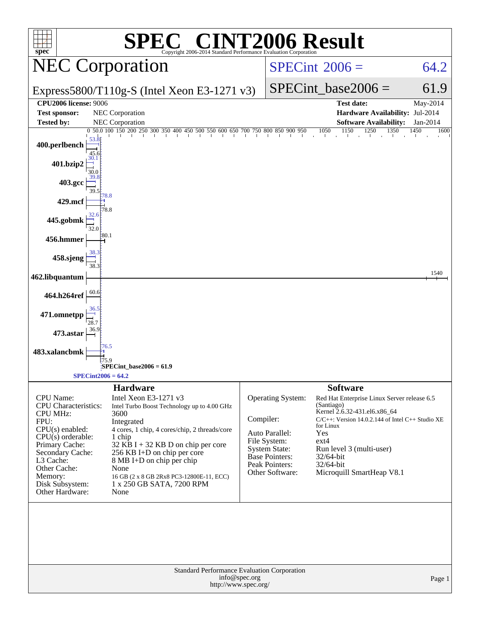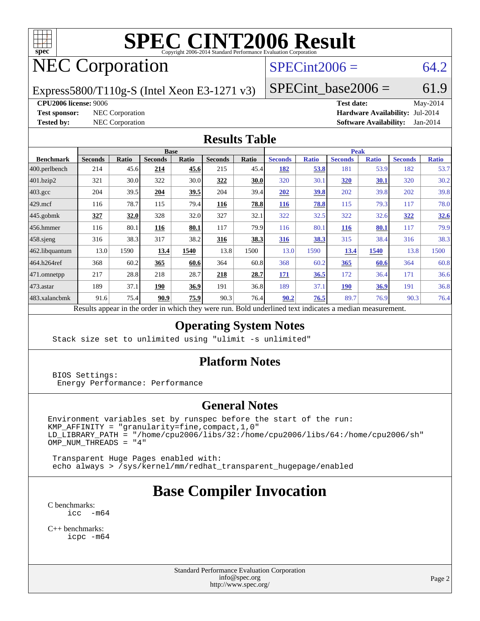

## NEC Corporation

#### $SPECint2006 = 64.2$  $SPECint2006 = 64.2$

Express5800/T110g-S (Intel Xeon E3-1271 v3)

 $SPECTnt\_base2006 = 61.9$ 

#### **[CPU2006 license:](http://www.spec.org/auto/cpu2006/Docs/result-fields.html#CPU2006license)** 9006 **[Test date:](http://www.spec.org/auto/cpu2006/Docs/result-fields.html#Testdate)** May-2014

**[Test sponsor:](http://www.spec.org/auto/cpu2006/Docs/result-fields.html#Testsponsor)** NEC Corporation **[Hardware Availability:](http://www.spec.org/auto/cpu2006/Docs/result-fields.html#HardwareAvailability)** Jul-2014 **[Tested by:](http://www.spec.org/auto/cpu2006/Docs/result-fields.html#Testedby)** NEC Corporation **[Software Availability:](http://www.spec.org/auto/cpu2006/Docs/result-fields.html#SoftwareAvailability)** Jan-2014

#### **[Results Table](http://www.spec.org/auto/cpu2006/Docs/result-fields.html#ResultsTable)**

|                    | <b>Base</b>                        |              |                |                           |                |       | <b>Peak</b>    |              |                |              |                |              |
|--------------------|------------------------------------|--------------|----------------|---------------------------|----------------|-------|----------------|--------------|----------------|--------------|----------------|--------------|
| <b>Benchmark</b>   | <b>Seconds</b>                     | <b>Ratio</b> | <b>Seconds</b> | <b>Ratio</b>              | <b>Seconds</b> | Ratio | <b>Seconds</b> | <b>Ratio</b> | <b>Seconds</b> | <b>Ratio</b> | <b>Seconds</b> | <b>Ratio</b> |
| $ 400$ .perlbench  | 214                                | 45.6         | 214            | 45.6                      | 215            | 45.4  | <u>182</u>     | 53.8         | 181            | 53.9         | 182            | 53.7         |
| 401.bzip2          | 321                                | 30.0         | 322            | 30.0                      | 322            | 30.0  | 320            | 30.1         | <b>320</b>     | 30.1         | 320            | 30.2         |
| $403.\mathrm{gcc}$ | 204                                | 39.5         | 204            | 39.5                      | 204            | 39.4  | 202            | <u>39.8</u>  | 202            | 39.8         | 202            | 39.8         |
| $429$ .mcf         | 116                                | 78.7         | 115            | 79.4                      | 116            | 78.8  | <b>116</b>     | 78.8         | 115            | 79.3         | 117            | 78.0         |
| $445$ .gobmk       | 327                                | 32.0         | 328            | 32.0                      | 327            | 32.1  | 322            | 32.5         | 322            | 32.6         | 322            | <u>32.6</u>  |
| $456.$ hmmer       | 116                                | 80.1         | 116            | 80.1                      | 117            | 79.9  | 116            | 80.1         | <b>116</b>     | 80.1         | 117            | 79.9         |
| $458$ .sjeng       | 316                                | 38.3         | 317            | 38.2                      | <u>316</u>     | 38.3  | 316            | 38.3         | 315            | 38.4         | 316            | 38.3         |
| 462.libquantum     | 13.0                               | 1590         | 13.4           | 1540                      | 13.8           | 1500  | 13.0           | 1590         | 13.4           | 1540         | 13.8           | 1500         |
| 464.h264ref        | 368                                | 60.2         | 365            | 60.6                      | 364            | 60.8  | 368            | 60.2         | 365            | 60.6         | 364            | 60.8         |
| 471.omnetpp        | 217                                | 28.8         | 218            | 28.7                      | 218            | 28.7  | <b>171</b>     | 36.5         | 172            | 36.4         | 171            | 36.6         |
| $473$ . astar      | 189                                | 37.1         | 190            | 36.9                      | 191            | 36.8  | 189            | 37.1         | <u>190</u>     | <u>36.9</u>  | 191            | 36.8         |
| 483.xalancbmk      | 91.6                               | 75.4         | 90.9           | 75.9                      | 90.3           | 76.4  | 90.2           | 76.5         | 89.7           | 76.9         | 90.3           | 76.4         |
|                    | $D$ <b>1</b> <i>i</i> <sub>2</sub> | tur 11.      |                | 1.1.1.1<br>$\overline{1}$ |                |       |                |              |                |              |                |              |

Results appear in the [order in which they were run.](http://www.spec.org/auto/cpu2006/Docs/result-fields.html#RunOrder) Bold underlined text [indicates a median measurement.](http://www.spec.org/auto/cpu2006/Docs/result-fields.html#Median)

#### **[Operating System Notes](http://www.spec.org/auto/cpu2006/Docs/result-fields.html#OperatingSystemNotes)**

Stack size set to unlimited using "ulimit -s unlimited"

#### **[Platform Notes](http://www.spec.org/auto/cpu2006/Docs/result-fields.html#PlatformNotes)**

 BIOS Settings: Energy Performance: Performance

#### **[General Notes](http://www.spec.org/auto/cpu2006/Docs/result-fields.html#GeneralNotes)**

Environment variables set by runspec before the start of the run:  $KMP_A$ FFINITY = "granularity=fine, compact, 1, 0" LD\_LIBRARY\_PATH = "/home/cpu2006/libs/32:/home/cpu2006/libs/64:/home/cpu2006/sh"  $OMP_NUM_THREADS = "4"$ 

 Transparent Huge Pages enabled with: echo always > /sys/kernel/mm/redhat\_transparent\_hugepage/enabled

### **[Base Compiler Invocation](http://www.spec.org/auto/cpu2006/Docs/result-fields.html#BaseCompilerInvocation)**

[C benchmarks](http://www.spec.org/auto/cpu2006/Docs/result-fields.html#Cbenchmarks): [icc -m64](http://www.spec.org/cpu2006/results/res2014q3/cpu2006-20140806-30798.flags.html#user_CCbase_intel_icc_64bit_f346026e86af2a669e726fe758c88044)

[C++ benchmarks:](http://www.spec.org/auto/cpu2006/Docs/result-fields.html#CXXbenchmarks) [icpc -m64](http://www.spec.org/cpu2006/results/res2014q3/cpu2006-20140806-30798.flags.html#user_CXXbase_intel_icpc_64bit_fc66a5337ce925472a5c54ad6a0de310)

> Standard Performance Evaluation Corporation [info@spec.org](mailto:info@spec.org) <http://www.spec.org/>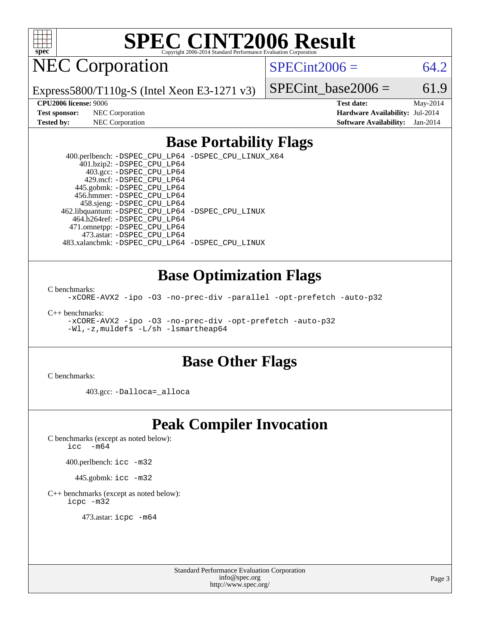

NEC Corporation

 $SPECint2006 = 64.2$  $SPECint2006 = 64.2$ 

Express5800/T110g-S (Intel Xeon E3-1271 v3)

SPECint base2006 =  $61.9$ **[CPU2006 license:](http://www.spec.org/auto/cpu2006/Docs/result-fields.html#CPU2006license)** 9006 **[Test date:](http://www.spec.org/auto/cpu2006/Docs/result-fields.html#Testdate)** May-2014

**[Test sponsor:](http://www.spec.org/auto/cpu2006/Docs/result-fields.html#Testsponsor)** NEC Corporation **[Hardware Availability:](http://www.spec.org/auto/cpu2006/Docs/result-fields.html#HardwareAvailability)** Jul-2014 **[Tested by:](http://www.spec.org/auto/cpu2006/Docs/result-fields.html#Testedby)** NEC Corporation **[Software Availability:](http://www.spec.org/auto/cpu2006/Docs/result-fields.html#SoftwareAvailability)** Jan-2014

#### **[Base Portability Flags](http://www.spec.org/auto/cpu2006/Docs/result-fields.html#BasePortabilityFlags)**

 400.perlbench: [-DSPEC\\_CPU\\_LP64](http://www.spec.org/cpu2006/results/res2014q3/cpu2006-20140806-30798.flags.html#b400.perlbench_basePORTABILITY_DSPEC_CPU_LP64) [-DSPEC\\_CPU\\_LINUX\\_X64](http://www.spec.org/cpu2006/results/res2014q3/cpu2006-20140806-30798.flags.html#b400.perlbench_baseCPORTABILITY_DSPEC_CPU_LINUX_X64) 401.bzip2: [-DSPEC\\_CPU\\_LP64](http://www.spec.org/cpu2006/results/res2014q3/cpu2006-20140806-30798.flags.html#suite_basePORTABILITY401_bzip2_DSPEC_CPU_LP64) 403.gcc: [-DSPEC\\_CPU\\_LP64](http://www.spec.org/cpu2006/results/res2014q3/cpu2006-20140806-30798.flags.html#suite_basePORTABILITY403_gcc_DSPEC_CPU_LP64) 429.mcf: [-DSPEC\\_CPU\\_LP64](http://www.spec.org/cpu2006/results/res2014q3/cpu2006-20140806-30798.flags.html#suite_basePORTABILITY429_mcf_DSPEC_CPU_LP64) 445.gobmk: [-DSPEC\\_CPU\\_LP64](http://www.spec.org/cpu2006/results/res2014q3/cpu2006-20140806-30798.flags.html#suite_basePORTABILITY445_gobmk_DSPEC_CPU_LP64) 456.hmmer: [-DSPEC\\_CPU\\_LP64](http://www.spec.org/cpu2006/results/res2014q3/cpu2006-20140806-30798.flags.html#suite_basePORTABILITY456_hmmer_DSPEC_CPU_LP64) 458.sjeng: [-DSPEC\\_CPU\\_LP64](http://www.spec.org/cpu2006/results/res2014q3/cpu2006-20140806-30798.flags.html#suite_basePORTABILITY458_sjeng_DSPEC_CPU_LP64) 462.libquantum: [-DSPEC\\_CPU\\_LP64](http://www.spec.org/cpu2006/results/res2014q3/cpu2006-20140806-30798.flags.html#suite_basePORTABILITY462_libquantum_DSPEC_CPU_LP64) [-DSPEC\\_CPU\\_LINUX](http://www.spec.org/cpu2006/results/res2014q3/cpu2006-20140806-30798.flags.html#b462.libquantum_baseCPORTABILITY_DSPEC_CPU_LINUX) 464.h264ref: [-DSPEC\\_CPU\\_LP64](http://www.spec.org/cpu2006/results/res2014q3/cpu2006-20140806-30798.flags.html#suite_basePORTABILITY464_h264ref_DSPEC_CPU_LP64) 471.omnetpp: [-DSPEC\\_CPU\\_LP64](http://www.spec.org/cpu2006/results/res2014q3/cpu2006-20140806-30798.flags.html#suite_basePORTABILITY471_omnetpp_DSPEC_CPU_LP64) 473.astar: [-DSPEC\\_CPU\\_LP64](http://www.spec.org/cpu2006/results/res2014q3/cpu2006-20140806-30798.flags.html#suite_basePORTABILITY473_astar_DSPEC_CPU_LP64) 483.xalancbmk: [-DSPEC\\_CPU\\_LP64](http://www.spec.org/cpu2006/results/res2014q3/cpu2006-20140806-30798.flags.html#suite_basePORTABILITY483_xalancbmk_DSPEC_CPU_LP64) [-DSPEC\\_CPU\\_LINUX](http://www.spec.org/cpu2006/results/res2014q3/cpu2006-20140806-30798.flags.html#b483.xalancbmk_baseCXXPORTABILITY_DSPEC_CPU_LINUX)

#### **[Base Optimization Flags](http://www.spec.org/auto/cpu2006/Docs/result-fields.html#BaseOptimizationFlags)**

[C benchmarks](http://www.spec.org/auto/cpu2006/Docs/result-fields.html#Cbenchmarks):

[-xCORE-AVX2](http://www.spec.org/cpu2006/results/res2014q3/cpu2006-20140806-30798.flags.html#user_CCbase_f-xAVX2_5f5fc0cbe2c9f62c816d3e45806c70d7) [-ipo](http://www.spec.org/cpu2006/results/res2014q3/cpu2006-20140806-30798.flags.html#user_CCbase_f-ipo) [-O3](http://www.spec.org/cpu2006/results/res2014q3/cpu2006-20140806-30798.flags.html#user_CCbase_f-O3) [-no-prec-div](http://www.spec.org/cpu2006/results/res2014q3/cpu2006-20140806-30798.flags.html#user_CCbase_f-no-prec-div) [-parallel](http://www.spec.org/cpu2006/results/res2014q3/cpu2006-20140806-30798.flags.html#user_CCbase_f-parallel) [-opt-prefetch](http://www.spec.org/cpu2006/results/res2014q3/cpu2006-20140806-30798.flags.html#user_CCbase_f-opt-prefetch) [-auto-p32](http://www.spec.org/cpu2006/results/res2014q3/cpu2006-20140806-30798.flags.html#user_CCbase_f-auto-p32)

[C++ benchmarks:](http://www.spec.org/auto/cpu2006/Docs/result-fields.html#CXXbenchmarks)

[-xCORE-AVX2](http://www.spec.org/cpu2006/results/res2014q3/cpu2006-20140806-30798.flags.html#user_CXXbase_f-xAVX2_5f5fc0cbe2c9f62c816d3e45806c70d7) [-ipo](http://www.spec.org/cpu2006/results/res2014q3/cpu2006-20140806-30798.flags.html#user_CXXbase_f-ipo) [-O3](http://www.spec.org/cpu2006/results/res2014q3/cpu2006-20140806-30798.flags.html#user_CXXbase_f-O3) [-no-prec-div](http://www.spec.org/cpu2006/results/res2014q3/cpu2006-20140806-30798.flags.html#user_CXXbase_f-no-prec-div) [-opt-prefetch](http://www.spec.org/cpu2006/results/res2014q3/cpu2006-20140806-30798.flags.html#user_CXXbase_f-opt-prefetch) [-auto-p32](http://www.spec.org/cpu2006/results/res2014q3/cpu2006-20140806-30798.flags.html#user_CXXbase_f-auto-p32) [-Wl,-z,muldefs](http://www.spec.org/cpu2006/results/res2014q3/cpu2006-20140806-30798.flags.html#user_CXXbase_link_force_multiple1_74079c344b956b9658436fd1b6dd3a8a) [-L/sh -lsmartheap64](http://www.spec.org/cpu2006/results/res2014q3/cpu2006-20140806-30798.flags.html#user_CXXbase_SmartHeap64_ed4ef857ce90951921efb0d91eb88472)

#### **[Base Other Flags](http://www.spec.org/auto/cpu2006/Docs/result-fields.html#BaseOtherFlags)**

[C benchmarks](http://www.spec.org/auto/cpu2006/Docs/result-fields.html#Cbenchmarks):

403.gcc: [-Dalloca=\\_alloca](http://www.spec.org/cpu2006/results/res2014q3/cpu2006-20140806-30798.flags.html#b403.gcc_baseEXTRA_CFLAGS_Dalloca_be3056838c12de2578596ca5467af7f3)

#### **[Peak Compiler Invocation](http://www.spec.org/auto/cpu2006/Docs/result-fields.html#PeakCompilerInvocation)**

[C benchmarks \(except as noted below\)](http://www.spec.org/auto/cpu2006/Docs/result-fields.html#Cbenchmarksexceptasnotedbelow):

icc  $-m64$ 

400.perlbench: [icc -m32](http://www.spec.org/cpu2006/results/res2014q3/cpu2006-20140806-30798.flags.html#user_peakCCLD400_perlbench_intel_icc_a6a621f8d50482236b970c6ac5f55f93)

445.gobmk: [icc -m32](http://www.spec.org/cpu2006/results/res2014q3/cpu2006-20140806-30798.flags.html#user_peakCCLD445_gobmk_intel_icc_a6a621f8d50482236b970c6ac5f55f93)

[C++ benchmarks \(except as noted below\):](http://www.spec.org/auto/cpu2006/Docs/result-fields.html#CXXbenchmarksexceptasnotedbelow) [icpc -m32](http://www.spec.org/cpu2006/results/res2014q3/cpu2006-20140806-30798.flags.html#user_CXXpeak_intel_icpc_4e5a5ef1a53fd332b3c49e69c3330699)

473.astar: [icpc -m64](http://www.spec.org/cpu2006/results/res2014q3/cpu2006-20140806-30798.flags.html#user_peakCXXLD473_astar_intel_icpc_64bit_fc66a5337ce925472a5c54ad6a0de310)

Standard Performance Evaluation Corporation [info@spec.org](mailto:info@spec.org) <http://www.spec.org/>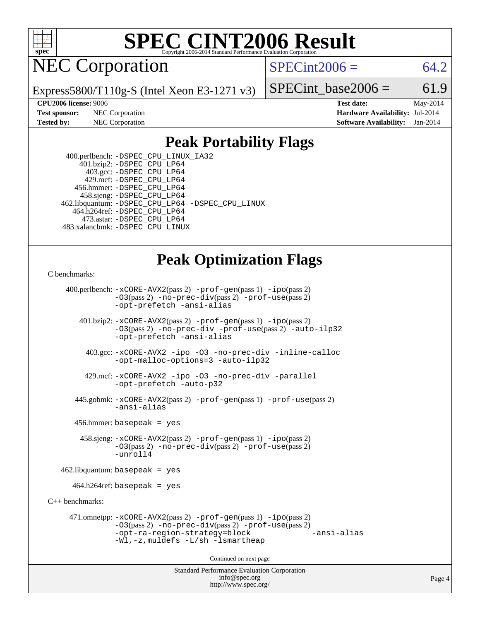

NEC Corporation

 $SPECint2006 = 64.2$  $SPECint2006 = 64.2$ 

Express5800/T110g-S (Intel Xeon E3-1271 v3)

SPECint base2006 =  $61.9$ 

**[CPU2006 license:](http://www.spec.org/auto/cpu2006/Docs/result-fields.html#CPU2006license)** 9006 **[Test date:](http://www.spec.org/auto/cpu2006/Docs/result-fields.html#Testdate)** May-2014 **[Test sponsor:](http://www.spec.org/auto/cpu2006/Docs/result-fields.html#Testsponsor)** NEC Corporation **[Hardware Availability:](http://www.spec.org/auto/cpu2006/Docs/result-fields.html#HardwareAvailability)** Jul-2014 **[Tested by:](http://www.spec.org/auto/cpu2006/Docs/result-fields.html#Testedby)** NEC Corporation **[Software Availability:](http://www.spec.org/auto/cpu2006/Docs/result-fields.html#SoftwareAvailability)** Jan-2014

#### **[Peak Portability Flags](http://www.spec.org/auto/cpu2006/Docs/result-fields.html#PeakPortabilityFlags)**

 400.perlbench: [-DSPEC\\_CPU\\_LINUX\\_IA32](http://www.spec.org/cpu2006/results/res2014q3/cpu2006-20140806-30798.flags.html#b400.perlbench_peakCPORTABILITY_DSPEC_CPU_LINUX_IA32) 401.bzip2: [-DSPEC\\_CPU\\_LP64](http://www.spec.org/cpu2006/results/res2014q3/cpu2006-20140806-30798.flags.html#suite_peakPORTABILITY401_bzip2_DSPEC_CPU_LP64) 403.gcc: [-DSPEC\\_CPU\\_LP64](http://www.spec.org/cpu2006/results/res2014q3/cpu2006-20140806-30798.flags.html#suite_peakPORTABILITY403_gcc_DSPEC_CPU_LP64) 429.mcf: [-DSPEC\\_CPU\\_LP64](http://www.spec.org/cpu2006/results/res2014q3/cpu2006-20140806-30798.flags.html#suite_peakPORTABILITY429_mcf_DSPEC_CPU_LP64) 456.hmmer: [-DSPEC\\_CPU\\_LP64](http://www.spec.org/cpu2006/results/res2014q3/cpu2006-20140806-30798.flags.html#suite_peakPORTABILITY456_hmmer_DSPEC_CPU_LP64) 458.sjeng: [-DSPEC\\_CPU\\_LP64](http://www.spec.org/cpu2006/results/res2014q3/cpu2006-20140806-30798.flags.html#suite_peakPORTABILITY458_sjeng_DSPEC_CPU_LP64) 462.libquantum: [-DSPEC\\_CPU\\_LP64](http://www.spec.org/cpu2006/results/res2014q3/cpu2006-20140806-30798.flags.html#suite_peakPORTABILITY462_libquantum_DSPEC_CPU_LP64) [-DSPEC\\_CPU\\_LINUX](http://www.spec.org/cpu2006/results/res2014q3/cpu2006-20140806-30798.flags.html#b462.libquantum_peakCPORTABILITY_DSPEC_CPU_LINUX) 464.h264ref: [-DSPEC\\_CPU\\_LP64](http://www.spec.org/cpu2006/results/res2014q3/cpu2006-20140806-30798.flags.html#suite_peakPORTABILITY464_h264ref_DSPEC_CPU_LP64) 473.astar: [-DSPEC\\_CPU\\_LP64](http://www.spec.org/cpu2006/results/res2014q3/cpu2006-20140806-30798.flags.html#suite_peakPORTABILITY473_astar_DSPEC_CPU_LP64) 483.xalancbmk: [-DSPEC\\_CPU\\_LINUX](http://www.spec.org/cpu2006/results/res2014q3/cpu2006-20140806-30798.flags.html#b483.xalancbmk_peakCXXPORTABILITY_DSPEC_CPU_LINUX)

#### **[Peak Optimization Flags](http://www.spec.org/auto/cpu2006/Docs/result-fields.html#PeakOptimizationFlags)**

#### [C benchmarks](http://www.spec.org/auto/cpu2006/Docs/result-fields.html#Cbenchmarks):

Standard Performance Evaluation Corporation [info@spec.org](mailto:info@spec.org) 400.perlbench: [-xCORE-AVX2](http://www.spec.org/cpu2006/results/res2014q3/cpu2006-20140806-30798.flags.html#user_peakPASS2_CFLAGSPASS2_LDCFLAGS400_perlbench_f-xAVX2_5f5fc0cbe2c9f62c816d3e45806c70d7)(pass 2) [-prof-gen](http://www.spec.org/cpu2006/results/res2014q3/cpu2006-20140806-30798.flags.html#user_peakPASS1_CFLAGSPASS1_LDCFLAGS400_perlbench_prof_gen_e43856698f6ca7b7e442dfd80e94a8fc)(pass 1) [-ipo](http://www.spec.org/cpu2006/results/res2014q3/cpu2006-20140806-30798.flags.html#user_peakPASS2_CFLAGSPASS2_LDCFLAGS400_perlbench_f-ipo)(pass 2) [-O3](http://www.spec.org/cpu2006/results/res2014q3/cpu2006-20140806-30798.flags.html#user_peakPASS2_CFLAGSPASS2_LDCFLAGS400_perlbench_f-O3)(pass 2) [-no-prec-div](http://www.spec.org/cpu2006/results/res2014q3/cpu2006-20140806-30798.flags.html#user_peakPASS2_CFLAGSPASS2_LDCFLAGS400_perlbench_f-no-prec-div)(pass 2) [-prof-use](http://www.spec.org/cpu2006/results/res2014q3/cpu2006-20140806-30798.flags.html#user_peakPASS2_CFLAGSPASS2_LDCFLAGS400_perlbench_prof_use_bccf7792157ff70d64e32fe3e1250b55)(pass 2) [-opt-prefetch](http://www.spec.org/cpu2006/results/res2014q3/cpu2006-20140806-30798.flags.html#user_peakCOPTIMIZE400_perlbench_f-opt-prefetch) [-ansi-alias](http://www.spec.org/cpu2006/results/res2014q3/cpu2006-20140806-30798.flags.html#user_peakCOPTIMIZE400_perlbench_f-ansi-alias) 401.bzip2: [-xCORE-AVX2](http://www.spec.org/cpu2006/results/res2014q3/cpu2006-20140806-30798.flags.html#user_peakPASS2_CFLAGSPASS2_LDCFLAGS401_bzip2_f-xAVX2_5f5fc0cbe2c9f62c816d3e45806c70d7)(pass 2) [-prof-gen](http://www.spec.org/cpu2006/results/res2014q3/cpu2006-20140806-30798.flags.html#user_peakPASS1_CFLAGSPASS1_LDCFLAGS401_bzip2_prof_gen_e43856698f6ca7b7e442dfd80e94a8fc)(pass 1) [-ipo](http://www.spec.org/cpu2006/results/res2014q3/cpu2006-20140806-30798.flags.html#user_peakPASS2_CFLAGSPASS2_LDCFLAGS401_bzip2_f-ipo)(pass 2) [-O3](http://www.spec.org/cpu2006/results/res2014q3/cpu2006-20140806-30798.flags.html#user_peakPASS2_CFLAGSPASS2_LDCFLAGS401_bzip2_f-O3)(pass 2) [-no-prec-div](http://www.spec.org/cpu2006/results/res2014q3/cpu2006-20140806-30798.flags.html#user_peakCOPTIMIZEPASS2_CFLAGSPASS2_LDCFLAGS401_bzip2_f-no-prec-div) [-prof-use](http://www.spec.org/cpu2006/results/res2014q3/cpu2006-20140806-30798.flags.html#user_peakPASS2_CFLAGSPASS2_LDCFLAGS401_bzip2_prof_use_bccf7792157ff70d64e32fe3e1250b55)(pass 2) [-auto-ilp32](http://www.spec.org/cpu2006/results/res2014q3/cpu2006-20140806-30798.flags.html#user_peakCOPTIMIZE401_bzip2_f-auto-ilp32) [-opt-prefetch](http://www.spec.org/cpu2006/results/res2014q3/cpu2006-20140806-30798.flags.html#user_peakCOPTIMIZE401_bzip2_f-opt-prefetch) [-ansi-alias](http://www.spec.org/cpu2006/results/res2014q3/cpu2006-20140806-30798.flags.html#user_peakCOPTIMIZE401_bzip2_f-ansi-alias) 403.gcc: [-xCORE-AVX2](http://www.spec.org/cpu2006/results/res2014q3/cpu2006-20140806-30798.flags.html#user_peakCOPTIMIZE403_gcc_f-xAVX2_5f5fc0cbe2c9f62c816d3e45806c70d7) [-ipo](http://www.spec.org/cpu2006/results/res2014q3/cpu2006-20140806-30798.flags.html#user_peakCOPTIMIZE403_gcc_f-ipo) [-O3](http://www.spec.org/cpu2006/results/res2014q3/cpu2006-20140806-30798.flags.html#user_peakCOPTIMIZE403_gcc_f-O3) [-no-prec-div](http://www.spec.org/cpu2006/results/res2014q3/cpu2006-20140806-30798.flags.html#user_peakCOPTIMIZE403_gcc_f-no-prec-div) [-inline-calloc](http://www.spec.org/cpu2006/results/res2014q3/cpu2006-20140806-30798.flags.html#user_peakCOPTIMIZE403_gcc_f-inline-calloc) [-opt-malloc-options=3](http://www.spec.org/cpu2006/results/res2014q3/cpu2006-20140806-30798.flags.html#user_peakCOPTIMIZE403_gcc_f-opt-malloc-options_13ab9b803cf986b4ee62f0a5998c2238) [-auto-ilp32](http://www.spec.org/cpu2006/results/res2014q3/cpu2006-20140806-30798.flags.html#user_peakCOPTIMIZE403_gcc_f-auto-ilp32) 429.mcf: [-xCORE-AVX2](http://www.spec.org/cpu2006/results/res2014q3/cpu2006-20140806-30798.flags.html#user_peakCOPTIMIZE429_mcf_f-xAVX2_5f5fc0cbe2c9f62c816d3e45806c70d7) [-ipo](http://www.spec.org/cpu2006/results/res2014q3/cpu2006-20140806-30798.flags.html#user_peakCOPTIMIZE429_mcf_f-ipo) [-O3](http://www.spec.org/cpu2006/results/res2014q3/cpu2006-20140806-30798.flags.html#user_peakCOPTIMIZE429_mcf_f-O3) [-no-prec-div](http://www.spec.org/cpu2006/results/res2014q3/cpu2006-20140806-30798.flags.html#user_peakCOPTIMIZE429_mcf_f-no-prec-div) [-parallel](http://www.spec.org/cpu2006/results/res2014q3/cpu2006-20140806-30798.flags.html#user_peakCOPTIMIZE429_mcf_f-parallel) [-opt-prefetch](http://www.spec.org/cpu2006/results/res2014q3/cpu2006-20140806-30798.flags.html#user_peakCOPTIMIZE429_mcf_f-opt-prefetch) [-auto-p32](http://www.spec.org/cpu2006/results/res2014q3/cpu2006-20140806-30798.flags.html#user_peakCOPTIMIZE429_mcf_f-auto-p32) 445.gobmk: [-xCORE-AVX2](http://www.spec.org/cpu2006/results/res2014q3/cpu2006-20140806-30798.flags.html#user_peakPASS2_CFLAGSPASS2_LDCFLAGS445_gobmk_f-xAVX2_5f5fc0cbe2c9f62c816d3e45806c70d7)(pass 2) [-prof-gen](http://www.spec.org/cpu2006/results/res2014q3/cpu2006-20140806-30798.flags.html#user_peakPASS1_CFLAGSPASS1_LDCFLAGS445_gobmk_prof_gen_e43856698f6ca7b7e442dfd80e94a8fc)(pass 1) [-prof-use](http://www.spec.org/cpu2006/results/res2014q3/cpu2006-20140806-30798.flags.html#user_peakPASS2_CFLAGSPASS2_LDCFLAGS445_gobmk_prof_use_bccf7792157ff70d64e32fe3e1250b55)(pass 2) [-ansi-alias](http://www.spec.org/cpu2006/results/res2014q3/cpu2006-20140806-30798.flags.html#user_peakCOPTIMIZE445_gobmk_f-ansi-alias) 456.hmmer: basepeak = yes 458.sjeng: [-xCORE-AVX2](http://www.spec.org/cpu2006/results/res2014q3/cpu2006-20140806-30798.flags.html#user_peakPASS2_CFLAGSPASS2_LDCFLAGS458_sjeng_f-xAVX2_5f5fc0cbe2c9f62c816d3e45806c70d7)(pass 2) [-prof-gen](http://www.spec.org/cpu2006/results/res2014q3/cpu2006-20140806-30798.flags.html#user_peakPASS1_CFLAGSPASS1_LDCFLAGS458_sjeng_prof_gen_e43856698f6ca7b7e442dfd80e94a8fc)(pass 1) [-ipo](http://www.spec.org/cpu2006/results/res2014q3/cpu2006-20140806-30798.flags.html#user_peakPASS2_CFLAGSPASS2_LDCFLAGS458_sjeng_f-ipo)(pass 2) [-O3](http://www.spec.org/cpu2006/results/res2014q3/cpu2006-20140806-30798.flags.html#user_peakPASS2_CFLAGSPASS2_LDCFLAGS458_sjeng_f-O3)(pass 2) [-no-prec-div](http://www.spec.org/cpu2006/results/res2014q3/cpu2006-20140806-30798.flags.html#user_peakPASS2_CFLAGSPASS2_LDCFLAGS458_sjeng_f-no-prec-div)(pass 2) [-prof-use](http://www.spec.org/cpu2006/results/res2014q3/cpu2006-20140806-30798.flags.html#user_peakPASS2_CFLAGSPASS2_LDCFLAGS458_sjeng_prof_use_bccf7792157ff70d64e32fe3e1250b55)(pass 2) [-unroll4](http://www.spec.org/cpu2006/results/res2014q3/cpu2006-20140806-30798.flags.html#user_peakCOPTIMIZE458_sjeng_f-unroll_4e5e4ed65b7fd20bdcd365bec371b81f) 462.libquantum: basepeak = yes  $464.h264$ ref: basepeak = yes [C++ benchmarks:](http://www.spec.org/auto/cpu2006/Docs/result-fields.html#CXXbenchmarks) 471.omnetpp: [-xCORE-AVX2](http://www.spec.org/cpu2006/results/res2014q3/cpu2006-20140806-30798.flags.html#user_peakPASS2_CXXFLAGSPASS2_LDCXXFLAGS471_omnetpp_f-xAVX2_5f5fc0cbe2c9f62c816d3e45806c70d7)(pass 2) [-prof-gen](http://www.spec.org/cpu2006/results/res2014q3/cpu2006-20140806-30798.flags.html#user_peakPASS1_CXXFLAGSPASS1_LDCXXFLAGS471_omnetpp_prof_gen_e43856698f6ca7b7e442dfd80e94a8fc)(pass 1) [-ipo](http://www.spec.org/cpu2006/results/res2014q3/cpu2006-20140806-30798.flags.html#user_peakPASS2_CXXFLAGSPASS2_LDCXXFLAGS471_omnetpp_f-ipo)(pass 2) [-O3](http://www.spec.org/cpu2006/results/res2014q3/cpu2006-20140806-30798.flags.html#user_peakPASS2_CXXFLAGSPASS2_LDCXXFLAGS471_omnetpp_f-O3)(pass 2) [-no-prec-div](http://www.spec.org/cpu2006/results/res2014q3/cpu2006-20140806-30798.flags.html#user_peakPASS2_CXXFLAGSPASS2_LDCXXFLAGS471_omnetpp_f-no-prec-div)(pass 2) [-prof-use](http://www.spec.org/cpu2006/results/res2014q3/cpu2006-20140806-30798.flags.html#user_peakPASS2_CXXFLAGSPASS2_LDCXXFLAGS471_omnetpp_prof_use_bccf7792157ff70d64e32fe3e1250b55)(pass 2) [-opt-ra-region-strategy=block](http://www.spec.org/cpu2006/results/res2014q3/cpu2006-20140806-30798.flags.html#user_peakCXXOPTIMIZE471_omnetpp_f-opt-ra-region-strategy_5382940c29ea30302d682fc74bfe0147) [-ansi-alias](http://www.spec.org/cpu2006/results/res2014q3/cpu2006-20140806-30798.flags.html#user_peakCXXOPTIMIZE471_omnetpp_f-ansi-alias) [-Wl,-z,muldefs](http://www.spec.org/cpu2006/results/res2014q3/cpu2006-20140806-30798.flags.html#user_peakEXTRA_LDFLAGS471_omnetpp_link_force_multiple1_74079c344b956b9658436fd1b6dd3a8a) [-L/sh -lsmartheap](http://www.spec.org/cpu2006/results/res2014q3/cpu2006-20140806-30798.flags.html#user_peakEXTRA_LIBS471_omnetpp_SmartHeap_32f6c82aa1ed9c52345d30cf6e4a0499) Continued on next page

<http://www.spec.org/>